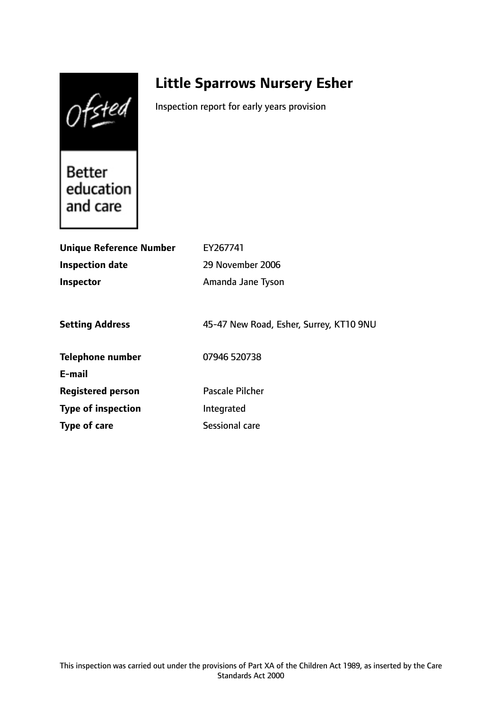Ofsted

# **Little Sparrows Nursery Esher**

Inspection report for early years provision

**Better** education and care

| <b>Unique Reference Number</b> | EY267741                                |
|--------------------------------|-----------------------------------------|
| <b>Inspection date</b>         | 29 November 2006                        |
| Inspector                      | Amanda Jane Tyson                       |
|                                |                                         |
| <b>Setting Address</b>         | 45-47 New Road, Esher, Surrey, KT10 9NU |
| <b>Telephone number</b>        | 07946 520738                            |
| E-mail                         |                                         |
| <b>Registered person</b>       | Pascale Pilcher                         |
| <b>Type of inspection</b>      | Integrated                              |
| Type of care                   | Sessional care                          |
|                                |                                         |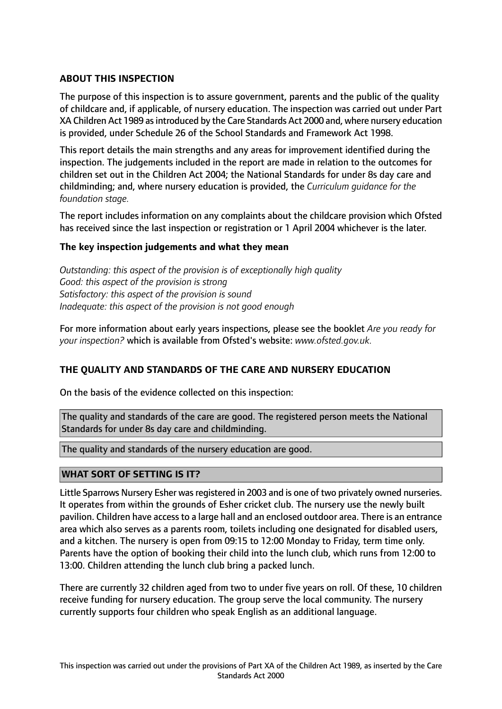# **ABOUT THIS INSPECTION**

The purpose of this inspection is to assure government, parents and the public of the quality of childcare and, if applicable, of nursery education. The inspection was carried out under Part XA Children Act 1989 asintroduced by the Care Standards Act 2000 and, where nursery education is provided, under Schedule 26 of the School Standards and Framework Act 1998.

This report details the main strengths and any areas for improvement identified during the inspection. The judgements included in the report are made in relation to the outcomes for children set out in the Children Act 2004; the National Standards for under 8s day care and childminding; and, where nursery education is provided, the *Curriculum guidance for the foundation stage.*

The report includes information on any complaints about the childcare provision which Ofsted has received since the last inspection or registration or 1 April 2004 whichever is the later.

## **The key inspection judgements and what they mean**

*Outstanding: this aspect of the provision is of exceptionally high quality Good: this aspect of the provision is strong Satisfactory: this aspect of the provision is sound Inadequate: this aspect of the provision is not good enough*

For more information about early years inspections, please see the booklet *Are you ready for your inspection?* which is available from Ofsted's website: *www.ofsted.gov.uk.*

## **THE QUALITY AND STANDARDS OF THE CARE AND NURSERY EDUCATION**

On the basis of the evidence collected on this inspection:

The quality and standards of the care are good. The registered person meets the National Standards for under 8s day care and childminding.

The quality and standards of the nursery education are good.

## **WHAT SORT OF SETTING IS IT?**

Little Sparrows Nursery Esher was registered in 2003 and is one of two privately owned nurseries. It operates from within the grounds of Esher cricket club. The nursery use the newly built pavilion. Children have access to a large hall and an enclosed outdoor area. There is an entrance area which also serves as a parents room, toilets including one designated for disabled users, and a kitchen. The nursery is open from 09:15 to 12:00 Monday to Friday, term time only. Parents have the option of booking their child into the lunch club, which runs from 12:00 to 13:00. Children attending the lunch club bring a packed lunch.

There are currently 32 children aged from two to under five years on roll. Of these, 10 children receive funding for nursery education. The group serve the local community. The nursery currently supports four children who speak English as an additional language.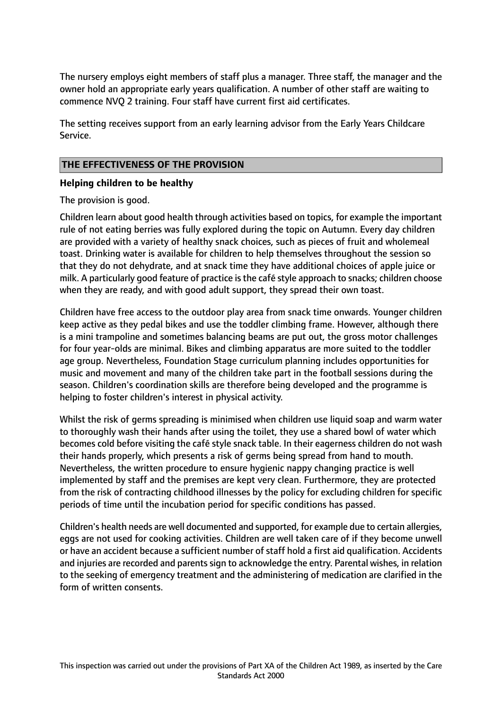The nursery employs eight members of staff plus a manager. Three staff, the manager and the owner hold an appropriate early years qualification. A number of other staff are waiting to commence NVQ 2 training. Four staff have current first aid certificates.

The setting receives support from an early learning advisor from the Early Years Childcare Service.

# **THE EFFECTIVENESS OF THE PROVISION**

# **Helping children to be healthy**

The provision is good.

Children learn about good health through activities based on topics, for example the important rule of not eating berries was fully explored during the topic on Autumn. Every day children are provided with a variety of healthy snack choices, such as pieces of fruit and wholemeal toast. Drinking water is available for children to help themselves throughout the session so that they do not dehydrate, and at snack time they have additional choices of apple juice or milk. A particularly good feature of practice isthe café style approach to snacks; children choose when they are ready, and with good adult support, they spread their own toast.

Children have free access to the outdoor play area from snack time onwards. Younger children keep active as they pedal bikes and use the toddler climbing frame. However, although there is a mini trampoline and sometimes balancing beams are put out, the gross motor challenges for four year-olds are minimal. Bikes and climbing apparatus are more suited to the toddler age group. Nevertheless, Foundation Stage curriculum planning includes opportunities for music and movement and many of the children take part in the football sessions during the season. Children's coordination skills are therefore being developed and the programme is helping to foster children's interest in physical activity.

Whilst the risk of germs spreading is minimised when children use liquid soap and warm water to thoroughly wash their hands after using the toilet, they use a shared bowl of water which becomes cold before visiting the café style snack table. In their eagerness children do not wash their hands properly, which presents a risk of germs being spread from hand to mouth. Nevertheless, the written procedure to ensure hygienic nappy changing practice is well implemented by staff and the premises are kept very clean. Furthermore, they are protected from the risk of contracting childhood illnesses by the policy for excluding children for specific periods of time until the incubation period for specific conditions has passed.

Children's health needs are well documented and supported, for example due to certain allergies, eggs are not used for cooking activities. Children are well taken care of if they become unwell or have an accident because a sufficient number of staff hold a first aid qualification. Accidents and injuries are recorded and parents sign to acknowledge the entry. Parental wishes, in relation to the seeking of emergency treatment and the administering of medication are clarified in the form of written consents.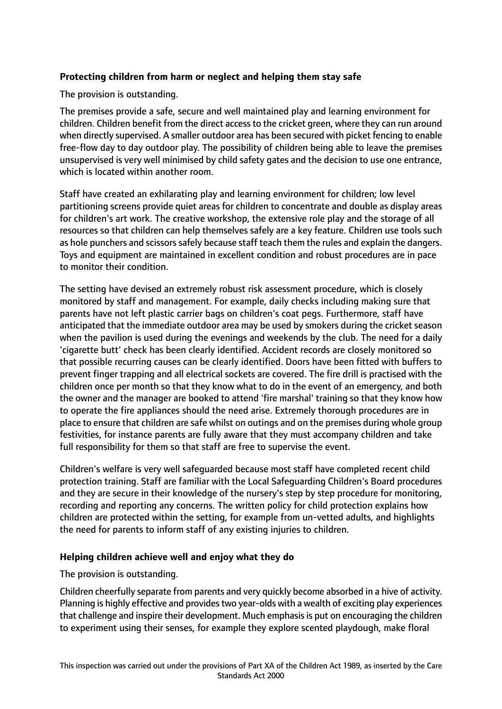# **Protecting children from harm or neglect and helping them stay safe**

The provision is outstanding.

The premises provide a safe, secure and well maintained play and learning environment for children. Children benefit from the direct access to the cricket green, where they can run around when directly supervised. A smaller outdoor area has been secured with picket fencing to enable free-flow day to day outdoor play. The possibility of children being able to leave the premises unsupervised is very well minimised by child safety gates and the decision to use one entrance, which is located within another room.

Staff have created an exhilarating play and learning environment for children; low level partitioning screens provide quiet areas for children to concentrate and double as display areas for children's art work. The creative workshop, the extensive role play and the storage of all resources so that children can help themselves safely are a key feature. Children use tools such as hole punchers and scissors safely because staff teach them the rules and explain the dangers. Toys and equipment are maintained in excellent condition and robust procedures are in pace to monitor their condition.

The setting have devised an extremely robust risk assessment procedure, which is closely monitored by staff and management. For example, daily checks including making sure that parents have not left plastic carrier bags on children's coat pegs. Furthermore, staff have anticipated that the immediate outdoor area may be used by smokers during the cricket season when the pavilion is used during the evenings and weekends by the club. The need for a daily 'cigarette butt' check has been clearly identified. Accident records are closely monitored so that possible recurring causes can be clearly identified. Doors have been fitted with buffers to prevent finger trapping and all electrical sockets are covered. The fire drill is practised with the children once per month so that they know what to do in the event of an emergency, and both the owner and the manager are booked to attend 'fire marshal' training so that they know how to operate the fire appliances should the need arise. Extremely thorough procedures are in place to ensure that children are safe whilst on outings and on the premises during whole group festivities, for instance parents are fully aware that they must accompany children and take full responsibility for them so that staff are free to supervise the event.

Children's welfare is very well safeguarded because most staff have completed recent child protection training. Staff are familiar with the Local Safeguarding Children's Board procedures and they are secure in their knowledge of the nursery's step by step procedure for monitoring, recording and reporting any concerns. The written policy for child protection explains how children are protected within the setting, for example from un-vetted adults, and highlights the need for parents to inform staff of any existing injuries to children.

## **Helping children achieve well and enjoy what they do**

#### The provision is outstanding.

Children cheerfully separate from parents and very quickly become absorbed in a hive of activity. Planning is highly effective and provides two year-olds with a wealth of exciting play experiences that challenge and inspire their development. Much emphasis is put on encouraging the children to experiment using their senses, for example they explore scented playdough, make floral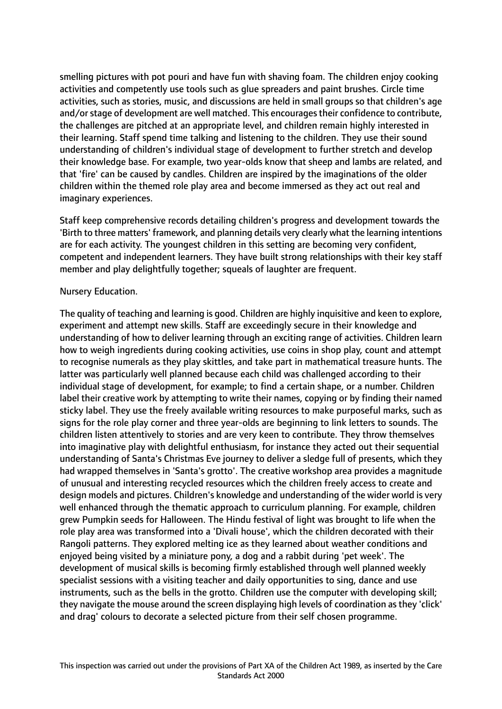smelling pictures with pot pouri and have fun with shaving foam. The children enjoy cooking activities and competently use tools such as glue spreaders and paint brushes. Circle time activities, such as stories, music, and discussions are held in small groups so that children's age and/orstage of development are well matched. This encouragestheir confidence to contribute, the challenges are pitched at an appropriate level, and children remain highly interested in their learning. Staff spend time talking and listening to the children. They use their sound understanding of children's individual stage of development to further stretch and develop their knowledge base. For example, two year-olds know that sheep and lambs are related, and that 'fire' can be caused by candles. Children are inspired by the imaginations of the older children within the themed role play area and become immersed as they act out real and imaginary experiences.

Staff keep comprehensive records detailing children's progress and development towards the 'Birth to three matters' framework, and planning details very clearly what the learning intentions are for each activity. The youngest children in this setting are becoming very confident, competent and independent learners. They have built strong relationships with their key staff member and play delightfully together; squeals of laughter are frequent.

## Nursery Education.

The quality of teaching and learning is good. Children are highly inquisitive and keen to explore, experiment and attempt new skills. Staff are exceedingly secure in their knowledge and understanding of how to deliver learning through an exciting range of activities. Children learn how to weigh ingredients during cooking activities, use coins in shop play, count and attempt to recognise numerals as they play skittles, and take part in mathematical treasure hunts. The latter was particularly well planned because each child was challenged according to their individual stage of development, for example; to find a certain shape, or a number. Children label their creative work by attempting to write their names, copying or by finding their named sticky label. They use the freely available writing resources to make purposeful marks, such as signs for the role play corner and three year-olds are beginning to link letters to sounds. The children listen attentively to stories and are very keen to contribute. They throw themselves into imaginative play with delightful enthusiasm, for instance they acted out their sequential understanding of Santa's Christmas Eve journey to deliver a sledge full of presents, which they had wrapped themselves in 'Santa's grotto'. The creative workshop area provides a magnitude of unusual and interesting recycled resources which the children freely access to create and design models and pictures. Children's knowledge and understanding of the wider world is very well enhanced through the thematic approach to curriculum planning. For example, children grew Pumpkin seeds for Halloween. The Hindu festival of light was brought to life when the role play area was transformed into a 'Divali house', which the children decorated with their Rangoli patterns. They explored melting ice as they learned about weather conditions and enjoyed being visited by a miniature pony, a dog and a rabbit during 'pet week'. The development of musical skills is becoming firmly established through well planned weekly specialist sessions with a visiting teacher and daily opportunities to sing, dance and use instruments, such as the bells in the grotto. Children use the computer with developing skill; they navigate the mouse around the screen displaying high levels of coordination as they 'click' and drag' colours to decorate a selected picture from their self chosen programme.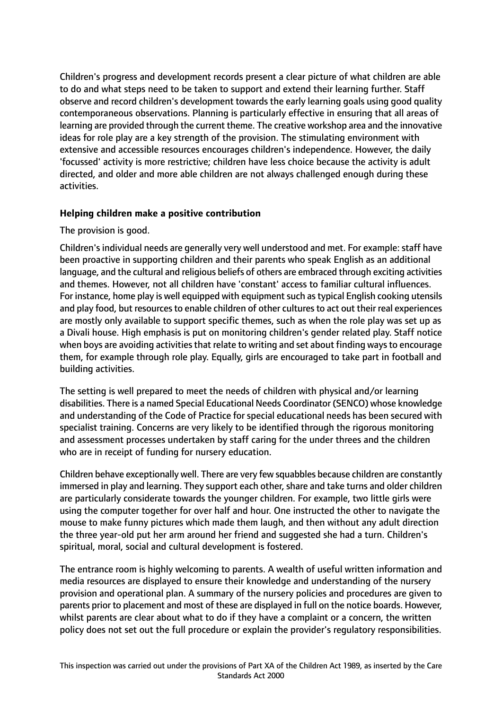Children's progress and development records present a clear picture of what children are able to do and what steps need to be taken to support and extend their learning further. Staff observe and record children's development towards the early learning goals using good quality contemporaneous observations. Planning is particularly effective in ensuring that all areas of learning are provided through the current theme. The creative workshop area and the innovative ideas for role play are a key strength of the provision. The stimulating environment with extensive and accessible resources encourages children's independence. However, the daily 'focussed' activity is more restrictive; children have less choice because the activity is adult directed, and older and more able children are not always challenged enough during these activities.

## **Helping children make a positive contribution**

# The provision is good.

Children's individual needs are generally very well understood and met. For example: staff have been proactive in supporting children and their parents who speak English as an additional language, and the cultural and religious beliefs of others are embraced through exciting activities and themes. However, not all children have 'constant' access to familiar cultural influences. For instance, home play is well equipped with equipment such as typical English cooking utensils and play food, but resources to enable children of other cultures to act out their real experiences are mostly only available to support specific themes, such as when the role play was set up as a Divali house. High emphasis is put on monitoring children's gender related play. Staff notice when boys are avoiding activities that relate to writing and set about finding ways to encourage them, for example through role play. Equally, girls are encouraged to take part in football and building activities.

The setting is well prepared to meet the needs of children with physical and/or learning disabilities. There is a named Special Educational Needs Coordinator (SENCO) whose knowledge and understanding of the Code of Practice for special educational needs has been secured with specialist training. Concerns are very likely to be identified through the rigorous monitoring and assessment processes undertaken by staff caring for the under threes and the children who are in receipt of funding for nursery education.

Children behave exceptionally well. There are very few squabbles because children are constantly immersed in play and learning. They support each other, share and take turns and older children are particularly considerate towards the younger children. For example, two little girls were using the computer together for over half and hour. One instructed the other to navigate the mouse to make funny pictures which made them laugh, and then without any adult direction the three year-old put her arm around her friend and suggested she had a turn. Children's spiritual, moral, social and cultural development is fostered.

The entrance room is highly welcoming to parents. A wealth of useful written information and media resources are displayed to ensure their knowledge and understanding of the nursery provision and operational plan. A summary of the nursery policies and procedures are given to parents prior to placement and most of these are displayed in full on the notice boards. However, whilst parents are clear about what to do if they have a complaint or a concern, the written policy does not set out the full procedure or explain the provider's regulatory responsibilities.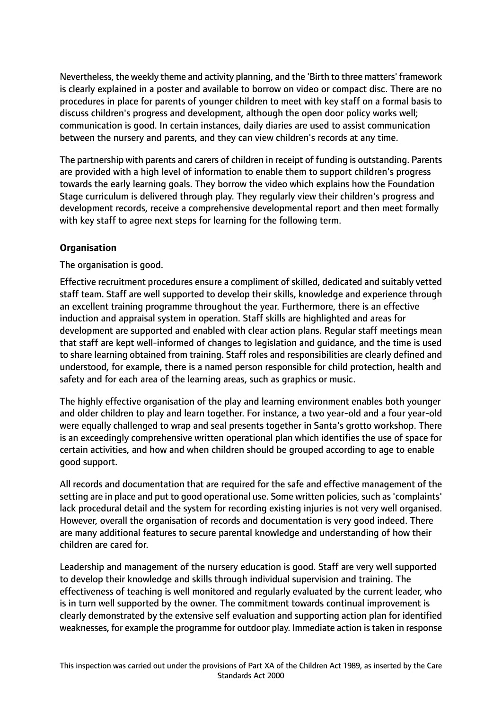Nevertheless, the weekly theme and activity planning, and the 'Birth to three matters' framework is clearly explained in a poster and available to borrow on video or compact disc. There are no procedures in place for parents of younger children to meet with key staff on a formal basis to discuss children's progress and development, although the open door policy works well; communication is good. In certain instances, daily diaries are used to assist communication between the nursery and parents, and they can view children's records at any time.

The partnership with parents and carers of children in receipt of funding is outstanding. Parents are provided with a high level of information to enable them to support children's progress towards the early learning goals. They borrow the video which explains how the Foundation Stage curriculum is delivered through play. They regularly view their children's progress and development records, receive a comprehensive developmental report and then meet formally with key staff to agree next steps for learning for the following term.

# **Organisation**

The organisation is good.

Effective recruitment procedures ensure a compliment of skilled, dedicated and suitably vetted staff team. Staff are well supported to develop their skills, knowledge and experience through an excellent training programme throughout the year. Furthermore, there is an effective induction and appraisal system in operation. Staff skills are highlighted and areas for development are supported and enabled with clear action plans. Regular staff meetings mean that staff are kept well-informed of changes to legislation and guidance, and the time is used to share learning obtained from training. Staff roles and responsibilities are clearly defined and understood, for example, there is a named person responsible for child protection, health and safety and for each area of the learning areas, such as graphics or music.

The highly effective organisation of the play and learning environment enables both younger and older children to play and learn together. For instance, a two year-old and a four year-old were equally challenged to wrap and seal presents together in Santa's grotto workshop. There is an exceedingly comprehensive written operational plan which identifies the use of space for certain activities, and how and when children should be grouped according to age to enable good support.

All records and documentation that are required for the safe and effective management of the setting are in place and put to good operational use. Some written policies, such as 'complaints' lack procedural detail and the system for recording existing injuries is not very well organised. However, overall the organisation of records and documentation is very good indeed. There are many additional features to secure parental knowledge and understanding of how their children are cared for.

Leadership and management of the nursery education is good. Staff are very well supported to develop their knowledge and skills through individual supervision and training. The effectiveness of teaching is well monitored and regularly evaluated by the current leader, who is in turn well supported by the owner. The commitment towards continual improvement is clearly demonstrated by the extensive self evaluation and supporting action plan for identified weaknesses, for example the programme for outdoor play. Immediate action istaken in response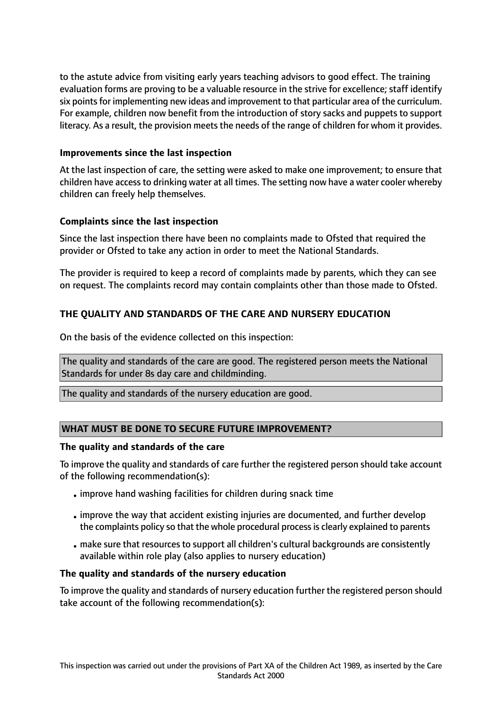to the astute advice from visiting early years teaching advisors to good effect. The training evaluation forms are proving to be a valuable resource in the strive for excellence; staff identify six points for implementing new ideas and improvement to that particular area of the curriculum. For example, children now benefit from the introduction of story sacks and puppets to support literacy. As a result, the provision meets the needs of the range of children for whom it provides.

#### **Improvements since the last inspection**

At the last inspection of care, the setting were asked to make one improvement; to ensure that children have access to drinking water at all times. The setting now have a water cooler whereby children can freely help themselves.

## **Complaints since the last inspection**

Since the last inspection there have been no complaints made to Ofsted that required the provider or Ofsted to take any action in order to meet the National Standards.

The provider is required to keep a record of complaints made by parents, which they can see on request. The complaints record may contain complaints other than those made to Ofsted.

# **THE QUALITY AND STANDARDS OF THE CARE AND NURSERY EDUCATION**

On the basis of the evidence collected on this inspection:

The quality and standards of the care are good. The registered person meets the National Standards for under 8s day care and childminding.

The quality and standards of the nursery education are good.

## **WHAT MUST BE DONE TO SECURE FUTURE IMPROVEMENT?**

#### **The quality and standards of the care**

To improve the quality and standards of care further the registered person should take account of the following recommendation(s):

- •improve hand washing facilities for children during snack time
- •improve the way that accident existing injuries are documented, and further develop the complaints policy so that the whole procedural process is clearly explained to parents
- make sure that resources to support all children's cultural backgrounds are consistently available within role play (also applies to nursery education)

#### **The quality and standards of the nursery education**

To improve the quality and standards of nursery education further the registered person should take account of the following recommendation(s):